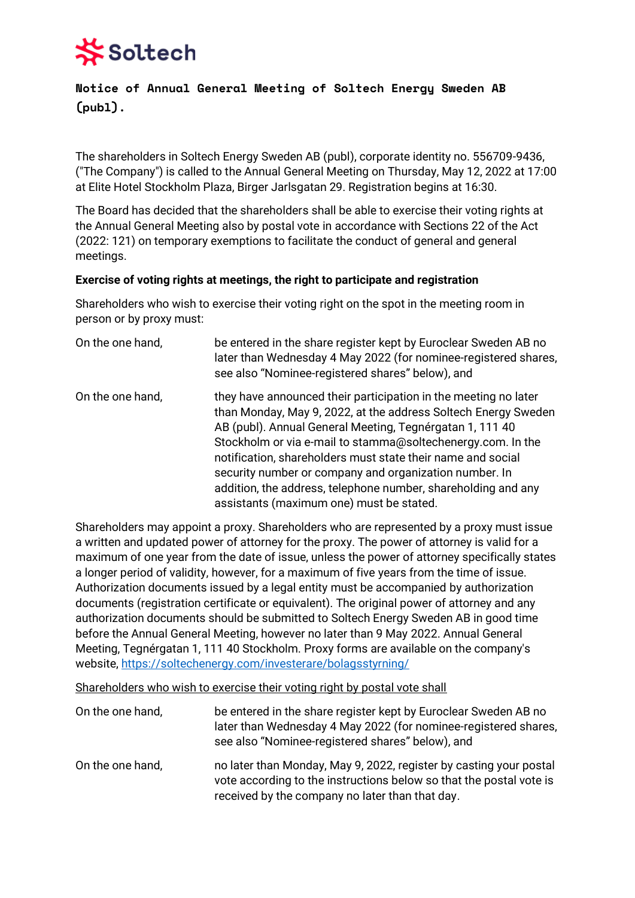# Soltech

## **Notice of Annual General Meeting of Soltech Energy Sweden AB (publ).**

The shareholders in Soltech Energy Sweden AB (publ), corporate identity no. 556709-9436, ("The Company") is called to the Annual General Meeting on Thursday, May 12, 2022 at 17:00 at Elite Hotel Stockholm Plaza, Birger Jarlsgatan 29. Registration begins at 16:30.

The Board has decided that the shareholders shall be able to exercise their voting rights at the Annual General Meeting also by postal vote in accordance with Sections 22 of the Act (2022: 121) on temporary exemptions to facilitate the conduct of general and general meetings.

## **Exercise of voting rights at meetings, the right to participate and registration**

Shareholders who wish to exercise their voting right on the spot in the meeting room in person or by proxy must:

| On the one hand, | be entered in the share register kept by Euroclear Sweden AB no<br>later than Wednesday 4 May 2022 (for nominee-registered shares,<br>see also "Nominee-registered shares" below), and                                                                                                                                                                                                                                                                                                             |
|------------------|----------------------------------------------------------------------------------------------------------------------------------------------------------------------------------------------------------------------------------------------------------------------------------------------------------------------------------------------------------------------------------------------------------------------------------------------------------------------------------------------------|
| On the one hand, | they have announced their participation in the meeting no later<br>than Monday, May 9, 2022, at the address Soltech Energy Sweden<br>AB (publ). Annual General Meeting, Tegnérgatan 1, 111 40<br>Stockholm or via e-mail to stamma@soltechenergy.com. In the<br>notification, shareholders must state their name and social<br>security number or company and organization number. In<br>addition, the address, telephone number, shareholding and any<br>assistants (maximum one) must be stated. |

Shareholders may appoint a proxy. Shareholders who are represented by a proxy must issue a written and updated power of attorney for the proxy. The power of attorney is valid for a maximum of one year from the date of issue, unless the power of attorney specifically states a longer period of validity, however, for a maximum of five years from the time of issue. Authorization documents issued by a legal entity must be accompanied by authorization documents (registration certificate or equivalent). The original power of attorney and any authorization documents should be submitted to Soltech Energy Sweden AB in good time before the Annual General Meeting, however no later than 9 May 2022. Annual General Meeting, Tegnérgatan 1, 111 40 Stockholm. Proxy forms are available on the company's website,<https://soltechenergy.com/investerare/bolagsstyrning/>

Shareholders who wish to exercise their voting right by postal vote shall

| On the one hand, | be entered in the share register kept by Euroclear Sweden AB no<br>later than Wednesday 4 May 2022 (for nominee-registered shares,<br>see also "Nominee-registered shares" below), and       |
|------------------|----------------------------------------------------------------------------------------------------------------------------------------------------------------------------------------------|
| On the one hand, | no later than Monday, May 9, 2022, register by casting your postal<br>vote according to the instructions below so that the postal vote is<br>received by the company no later than that day. |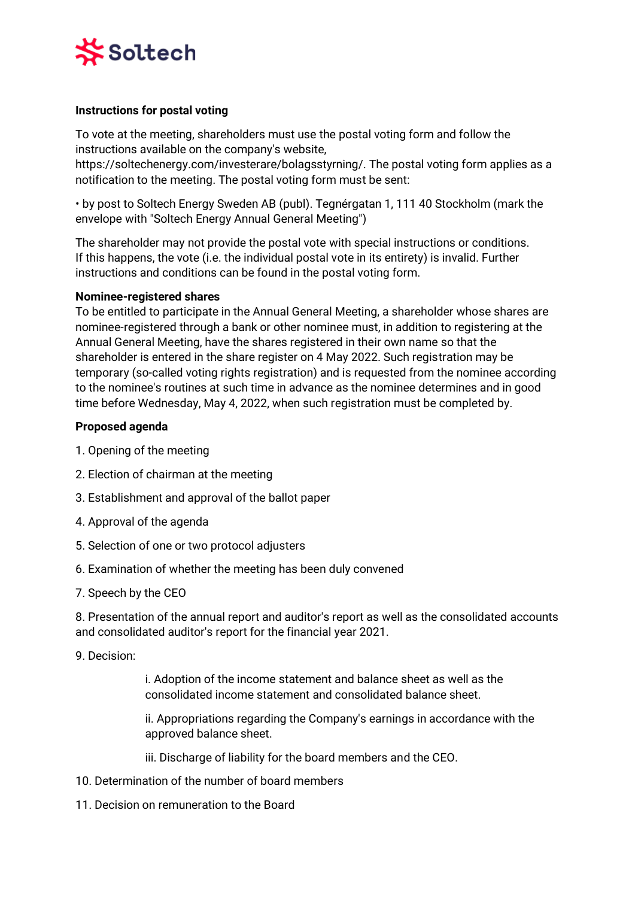

## **Instructions for postal voting**

To vote at the meeting, shareholders must use the postal voting form and follow the instructions available on the company's website,

https://soltechenergy.com/investerare/bolagsstyrning/. The postal voting form applies as a notification to the meeting. The postal voting form must be sent:

• by post to Soltech Energy Sweden AB (publ). Tegnérgatan 1, 111 40 Stockholm (mark the envelope with "Soltech Energy Annual General Meeting")

The shareholder may not provide the postal vote with special instructions or conditions. If this happens, the vote (i.e. the individual postal vote in its entirety) is invalid. Further instructions and conditions can be found in the postal voting form.

#### **Nominee-registered shares**

To be entitled to participate in the Annual General Meeting, a shareholder whose shares are nominee-registered through a bank or other nominee must, in addition to registering at the Annual General Meeting, have the shares registered in their own name so that the shareholder is entered in the share register on 4 May 2022. Such registration may be temporary (so-called voting rights registration) and is requested from the nominee according to the nominee's routines at such time in advance as the nominee determines and in good time before Wednesday, May 4, 2022, when such registration must be completed by.

#### **Proposed agenda**

- 1. Opening of the meeting
- 2. Election of chairman at the meeting
- 3. Establishment and approval of the ballot paper
- 4. Approval of the agenda
- 5. Selection of one or two protocol adjusters
- 6. Examination of whether the meeting has been duly convened
- 7. Speech by the CEO

8. Presentation of the annual report and auditor's report as well as the consolidated accounts and consolidated auditor's report for the financial year 2021.

9. Decision:

i. Adoption of the income statement and balance sheet as well as the consolidated income statement and consolidated balance sheet.

ii. Appropriations regarding the Company's earnings in accordance with the approved balance sheet.

iii. Discharge of liability for the board members and the CEO.

- 10. Determination of the number of board members
- 11. Decision on remuneration to the Board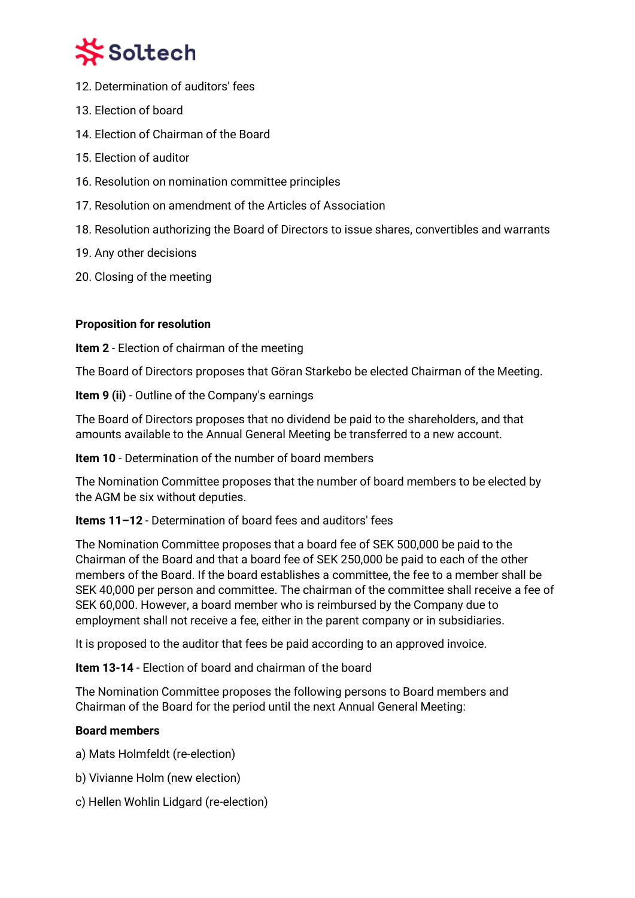

- 12. Determination of auditors' fees
- 13. Election of board
- 14. Election of Chairman of the Board
- 15. Election of auditor
- 16. Resolution on nomination committee principles
- 17. Resolution on amendment of the Articles of Association
- 18. Resolution authorizing the Board of Directors to issue shares, convertibles and warrants
- 19. Any other decisions
- 20. Closing of the meeting

## **Proposition for resolution**

**Item 2** - Election of chairman of the meeting

The Board of Directors proposes that Göran Starkebo be elected Chairman of the Meeting.

**Item 9 (ii)** - Outline of the Company's earnings

The Board of Directors proposes that no dividend be paid to the shareholders, and that amounts available to the Annual General Meeting be transferred to a new account.

**Item 10** - Determination of the number of board members

The Nomination Committee proposes that the number of board members to be elected by the AGM be six without deputies.

## **Items 11–12** - Determination of board fees and auditors' fees

The Nomination Committee proposes that a board fee of SEK 500,000 be paid to the Chairman of the Board and that a board fee of SEK 250,000 be paid to each of the other members of the Board. If the board establishes a committee, the fee to a member shall be SEK 40,000 per person and committee. The chairman of the committee shall receive a fee of SEK 60,000. However, a board member who is reimbursed by the Company due to employment shall not receive a fee, either in the parent company or in subsidiaries.

It is proposed to the auditor that fees be paid according to an approved invoice.

**Item 13-14** - Election of board and chairman of the board

The Nomination Committee proposes the following persons to Board members and Chairman of the Board for the period until the next Annual General Meeting:

## **Board members**

- a) Mats Holmfeldt (re-election)
- b) Vivianne Holm (new election)
- c) Hellen Wohlin Lidgard (re-election)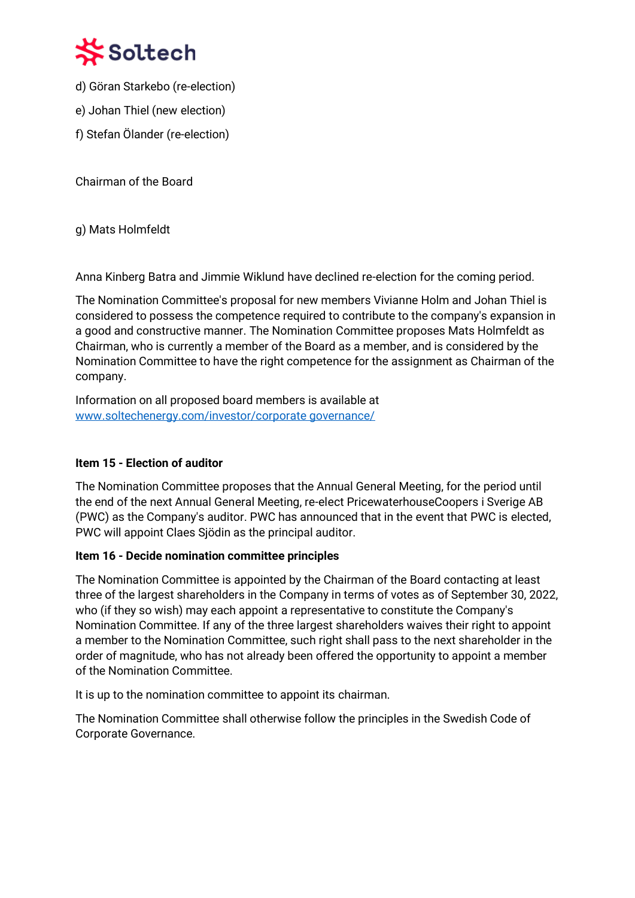

- d) Göran Starkebo (re-election)
- e) Johan Thiel (new election)
- f) Stefan Ölander (re-election)

Chairman of the Board

g) Mats Holmfeldt

Anna Kinberg Batra and Jimmie Wiklund have declined re-election for the coming period.

The Nomination Committee's proposal for new members Vivianne Holm and Johan Thiel is considered to possess the competence required to contribute to the company's expansion in a good and constructive manner. The Nomination Committee proposes Mats Holmfeldt as Chairman, who is currently a member of the Board as a member, and is considered by the Nomination Committee to have the right competence for the assignment as Chairman of the company.

Information on all proposed board members is available at [www.soltechenergy.com/investor/corporate governance/](http://www.soltechenergy.com/investor/corporate%20governance/)

## **Item 15 - Election of auditor**

The Nomination Committee proposes that the Annual General Meeting, for the period until the end of the next Annual General Meeting, re-elect PricewaterhouseCoopers i Sverige AB (PWC) as the Company's auditor. PWC has announced that in the event that PWC is elected, PWC will appoint Claes Sjödin as the principal auditor.

## **Item 16 - Decide nomination committee principles**

The Nomination Committee is appointed by the Chairman of the Board contacting at least three of the largest shareholders in the Company in terms of votes as of September 30, 2022, who (if they so wish) may each appoint a representative to constitute the Company's Nomination Committee. If any of the three largest shareholders waives their right to appoint a member to the Nomination Committee, such right shall pass to the next shareholder in the order of magnitude, who has not already been offered the opportunity to appoint a member of the Nomination Committee.

It is up to the nomination committee to appoint its chairman.

The Nomination Committee shall otherwise follow the principles in the Swedish Code of Corporate Governance.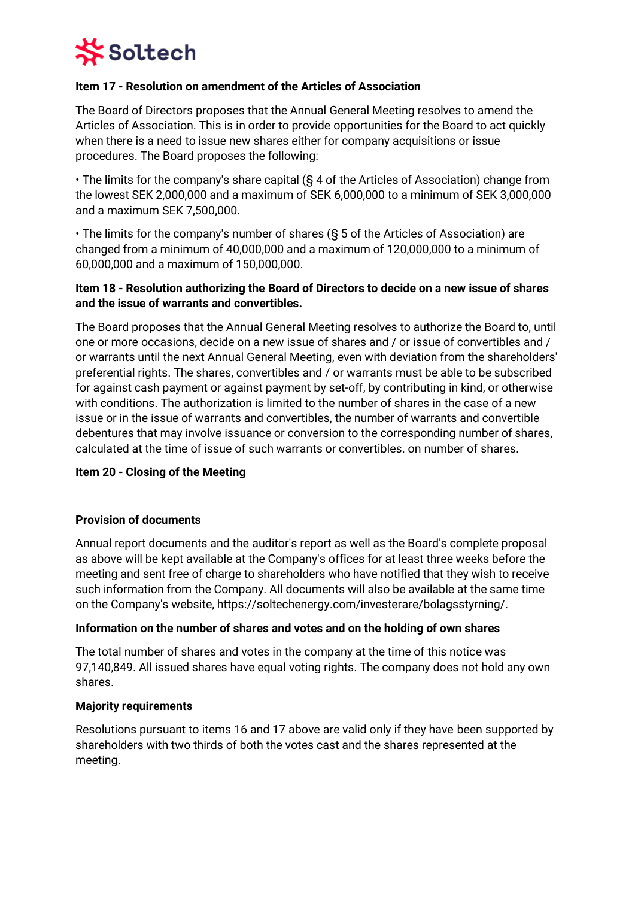

### **Item 17 - Resolution on amendment of the Articles of Association**

The Board of Directors proposes that the Annual General Meeting resolves to amend the Articles of Association. This is in order to provide opportunities for the Board to act quickly when there is a need to issue new shares either for company acquisitions or issue procedures. The Board proposes the following:

• The limits for the company's share capital (§ 4 of the Articles of Association) change from the lowest SEK 2,000,000 and a maximum of SEK 6,000,000 to a minimum of SEK 3,000,000 and a maximum SEK 7,500,000.

• The limits for the company's number of shares (§ 5 of the Articles of Association) are changed from a minimum of 40,000,000 and a maximum of 120,000,000 to a minimum of 60,000,000 and a maximum of 150,000,000.

## **Item 18 - Resolution authorizing the Board of Directors to decide on a new issue of shares and the issue of warrants and convertibles.**

The Board proposes that the Annual General Meeting resolves to authorize the Board to, until one or more occasions, decide on a new issue of shares and / or issue of convertibles and / or warrants until the next Annual General Meeting, even with deviation from the shareholders' preferential rights. The shares, convertibles and / or warrants must be able to be subscribed for against cash payment or against payment by set-off, by contributing in kind, or otherwise with conditions. The authorization is limited to the number of shares in the case of a new issue or in the issue of warrants and convertibles, the number of warrants and convertible debentures that may involve issuance or conversion to the corresponding number of shares, calculated at the time of issue of such warrants or convertibles. on number of shares.

#### **Item 20 - Closing of the Meeting**

#### **Provision of documents**

Annual report documents and the auditor's report as well as the Board's complete proposal as above will be kept available at the Company's offices for at least three weeks before the meeting and sent free of charge to shareholders who have notified that they wish to receive such information from the Company. All documents will also be available at the same time on the Company's website, https://soltechenergy.com/investerare/bolagsstyrning/.

#### **Information on the number of shares and votes and on the holding of own shares**

The total number of shares and votes in the company at the time of this notice was 97,140,849. All issued shares have equal voting rights. The company does not hold any own shares.

#### **Majority requirements**

Resolutions pursuant to items 16 and 17 above are valid only if they have been supported by shareholders with two thirds of both the votes cast and the shares represented at the meeting.